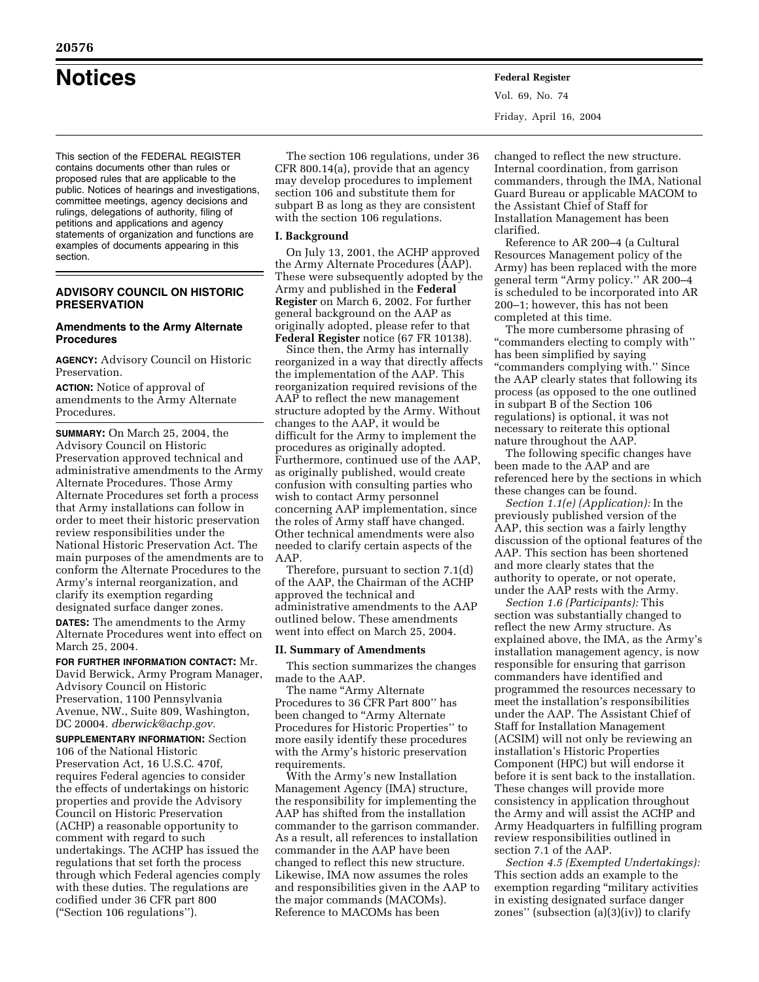**Notices Federal Register**

This section of the FEDERAL REGISTER contains documents other than rules or proposed rules that are applicable to the public. Notices of hearings and investigations, committee meetings, agency decisions and rulings, delegations of authority, filing of petitions and applications and agency statements of organization and functions are examples of documents appearing in this section.

# **ADVISORY COUNCIL ON HISTORIC PRESERVATION**

# **Amendments to the Army Alternate Procedures**

**AGENCY:** Advisory Council on Historic Preservation.

**ACTION:** Notice of approval of amendments to the Army Alternate Procedures.

**SUMMARY:** On March 25, 2004, the Advisory Council on Historic Preservation approved technical and administrative amendments to the Army Alternate Procedures. Those Army Alternate Procedures set forth a process that Army installations can follow in order to meet their historic preservation review responsibilities under the National Historic Preservation Act. The main purposes of the amendments are to conform the Alternate Procedures to the Army's internal reorganization, and clarify its exemption regarding designated surface danger zones.

**DATES:** The amendments to the Army Alternate Procedures went into effect on March 25, 2004.

**FOR FURTHER INFORMATION CONTACT:** Mr. David Berwick, Army Program Manager, Advisory Council on Historic Preservation, 1100 Pennsylvania Avenue, NW., Suite 809, Washington, DC 20004. *dberwick@achp.gov.* 

**SUPPLEMENTARY INFORMATION:** Section 106 of the National Historic Preservation Act, 16 U.S.C. 470f, requires Federal agencies to consider the effects of undertakings on historic properties and provide the Advisory Council on Historic Preservation (ACHP) a reasonable opportunity to comment with regard to such undertakings. The ACHP has issued the regulations that set forth the process through which Federal agencies comply with these duties. The regulations are codified under 36 CFR part 800 (''Section 106 regulations'').

The section 106 regulations, under 36 CFR 800.14(a), provide that an agency may develop procedures to implement section 106 and substitute them for subpart B as long as they are consistent with the section 106 regulations.

## **I. Background**

On July 13, 2001, the ACHP approved the Army Alternate Procedures (AAP). These were subsequently adopted by the Army and published in the **Federal Register** on March 6, 2002. For further general background on the AAP as originally adopted, please refer to that **Federal Register** notice (67 FR 10138).

Since then, the Army has internally reorganized in a way that directly affects the implementation of the AAP. This reorganization required revisions of the AAP to reflect the new management structure adopted by the Army. Without changes to the AAP, it would be difficult for the Army to implement the procedures as originally adopted. Furthermore, continued use of the AAP, as originally published, would create confusion with consulting parties who wish to contact Army personnel concerning AAP implementation, since the roles of Army staff have changed. Other technical amendments were also needed to clarify certain aspects of the AAP.

Therefore, pursuant to section 7.1(d) of the AAP, the Chairman of the ACHP approved the technical and administrative amendments to the AAP outlined below. These amendments went into effect on March 25, 2004.

## **II. Summary of Amendments**

This section summarizes the changes made to the AAP.

The name ''Army Alternate Procedures to 36 CFR Part 800'' has been changed to "Army Alternate Procedures for Historic Properties'' to more easily identify these procedures with the Army's historic preservation requirements.

With the Army's new Installation Management Agency (IMA) structure, the responsibility for implementing the AAP has shifted from the installation commander to the garrison commander. As a result, all references to installation commander in the AAP have been changed to reflect this new structure. Likewise, IMA now assumes the roles and responsibilities given in the AAP to the major commands (MACOMs). Reference to MACOMs has been

changed to reflect the new structure. Internal coordination, from garrison commanders, through the IMA, National Guard Bureau or applicable MACOM to the Assistant Chief of Staff for Installation Management has been clarified.

Reference to AR 200–4 (a Cultural Resources Management policy of the Army) has been replaced with the more general term "Army policy." AR 200-4 is scheduled to be incorporated into AR 200–1; however, this has not been completed at this time.

The more cumbersome phrasing of ''commanders electing to comply with'' has been simplified by saying ''commanders complying with.'' Since the AAP clearly states that following its process (as opposed to the one outlined in subpart B of the Section 106 regulations) is optional, it was not necessary to reiterate this optional nature throughout the AAP.

The following specific changes have been made to the AAP and are referenced here by the sections in which these changes can be found.

*Section 1.1(e) (Application):* In the previously published version of the AAP, this section was a fairly lengthy discussion of the optional features of the AAP. This section has been shortened and more clearly states that the authority to operate, or not operate, under the AAP rests with the Army.

*Section 1.6 (Participants):* This section was substantially changed to reflect the new Army structure. As explained above, the IMA, as the Army's installation management agency, is now responsible for ensuring that garrison commanders have identified and programmed the resources necessary to meet the installation's responsibilities under the AAP. The Assistant Chief of Staff for Installation Management (ACSIM) will not only be reviewing an installation's Historic Properties Component (HPC) but will endorse it before it is sent back to the installation. These changes will provide more consistency in application throughout the Army and will assist the ACHP and Army Headquarters in fulfilling program review responsibilities outlined in section 7.1 of the AAP.

*Section 4.5 (Exempted Undertakings):*  This section adds an example to the exemption regarding "military activities in existing designated surface danger zones" (subsection  $(a)(3)(iv)$ ) to clarify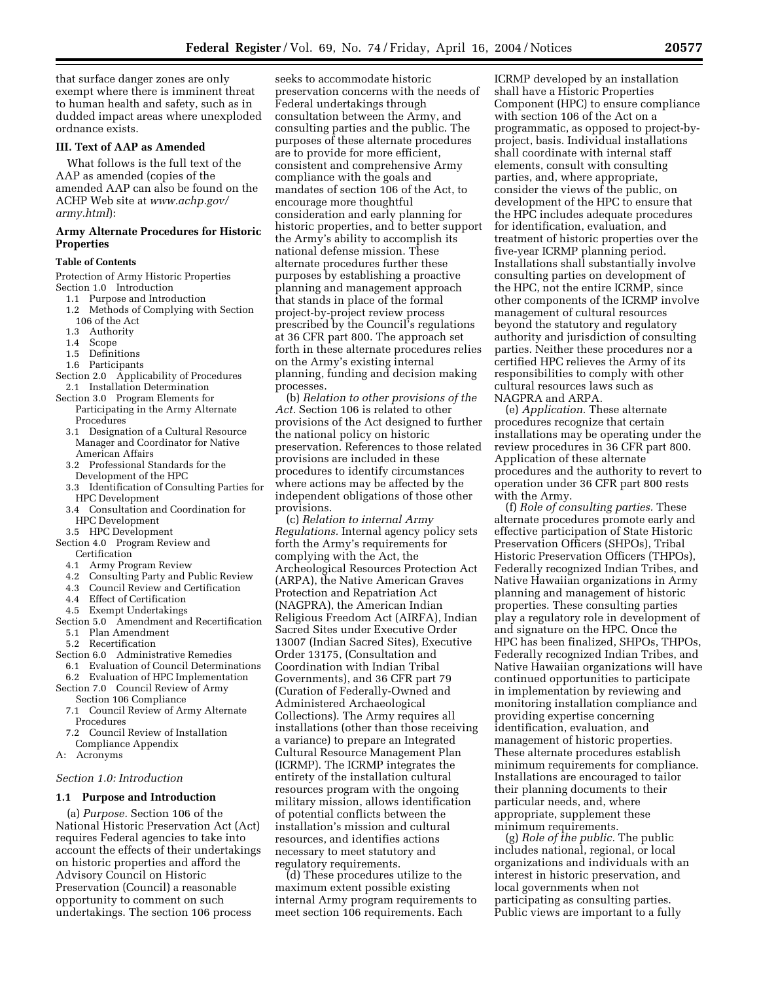that surface danger zones are only exempt where there is imminent threat to human health and safety, such as in dudded impact areas where unexploded ordnance exists.

# **III. Text of AAP as Amended**

What follows is the full text of the AAP as amended (copies of the amended AAP can also be found on the ACHP Web site at *www.achp.gov/ army.html*):

# **Army Alternate Procedures for Historic Properties**

#### **Table of Contents**

Protection of Army Historic Properties Section 1.0 Introduction

- 1.1 Purpose and Introduction
- 1.2 Methods of Complying with Section  $106$  of the Act<br> $13$  Authority
- Authority
- 1.4 Scope
- 1.5 Definitions
- 1.6 Participants
- Section 2.0 Applicability of Procedures 2.1 Installation Determination
- Section 3.0 Program Elements for Participating in the Army Alternate Procedures
	- 3.1 Designation of a Cultural Resource Manager and Coordinator for Native American Affairs
	- 3.2 Professional Standards for the Development of the HPC
	- 3.3 Identification of Consulting Parties for HPC Development
	- 3.4 Consultation and Coordination for HPC Development
- 3.5 HPC Development
- Section 4.0 Program Review and Certification
	- 4.1 Army Program Review
	- 4.2 Consulting Party and Public Review
	- 4.3 Council Review and Certification
	- 4.4 Effect of Certification
	- 4.5 Exempt Undertakings
- Section 5.0 Amendment and Recertification 5.1 Plan Amendment
	- 5.2 Recertification
- Section 6.0 Administrative Remedies
- 6.1 Evaluation of Council Determinations 6.2 Evaluation of HPC Implementation
- Section 7.0 Council Review of Army
	- Section 106 Compliance 7.1 Council Review of Army Alternate Procedures
	- 7.2 Council Review of Installation Compliance Appendix
- A: Acronyms

## *Section 1.0: Introduction*

# **1.1 Purpose and Introduction**

(a) *Purpose.* Section 106 of the National Historic Preservation Act (Act) requires Federal agencies to take into account the effects of their undertakings on historic properties and afford the Advisory Council on Historic Preservation (Council) a reasonable opportunity to comment on such undertakings. The section 106 process

seeks to accommodate historic preservation concerns with the needs of Federal undertakings through consultation between the Army, and consulting parties and the public. The purposes of these alternate procedures are to provide for more efficient, consistent and comprehensive Army compliance with the goals and mandates of section 106 of the Act, to encourage more thoughtful consideration and early planning for historic properties, and to better support the Army's ability to accomplish its national defense mission. These alternate procedures further these purposes by establishing a proactive planning and management approach that stands in place of the formal project-by-project review process prescribed by the Council's regulations at 36 CFR part 800. The approach set forth in these alternate procedures relies on the Army's existing internal planning, funding and decision making processes.

(b) *Relation to other provisions of the Act.* Section 106 is related to other provisions of the Act designed to further the national policy on historic preservation. References to those related provisions are included in these procedures to identify circumstances where actions may be affected by the independent obligations of those other provisions.

(c) *Relation to internal Army Regulations.* Internal agency policy sets forth the Army's requirements for complying with the Act, the Archeological Resources Protection Act (ARPA), the Native American Graves Protection and Repatriation Act (NAGPRA), the American Indian Religious Freedom Act (AIRFA), Indian Sacred Sites under Executive Order 13007 (Indian Sacred Sites), Executive Order 13175, (Consultation and Coordination with Indian Tribal Governments), and 36 CFR part 79 (Curation of Federally-Owned and Administered Archaeological Collections). The Army requires all installations (other than those receiving a variance) to prepare an Integrated Cultural Resource Management Plan (ICRMP). The ICRMP integrates the entirety of the installation cultural resources program with the ongoing military mission, allows identification of potential conflicts between the installation's mission and cultural resources, and identifies actions necessary to meet statutory and regulatory requirements.

(d) These procedures utilize to the maximum extent possible existing internal Army program requirements to meet section 106 requirements. Each

ICRMP developed by an installation shall have a Historic Properties Component (HPC) to ensure compliance with section 106 of the Act on a programmatic, as opposed to project-byproject, basis. Individual installations shall coordinate with internal staff elements, consult with consulting parties, and, where appropriate, consider the views of the public, on development of the HPC to ensure that the HPC includes adequate procedures for identification, evaluation, and treatment of historic properties over the five-year ICRMP planning period. Installations shall substantially involve consulting parties on development of the HPC, not the entire ICRMP, since other components of the ICRMP involve management of cultural resources beyond the statutory and regulatory authority and jurisdiction of consulting parties. Neither these procedures nor a certified HPC relieves the Army of its responsibilities to comply with other cultural resources laws such as NAGPRA and ARPA.

(e) *Application.* These alternate procedures recognize that certain installations may be operating under the review procedures in 36 CFR part 800. Application of these alternate procedures and the authority to revert to operation under 36 CFR part 800 rests with the Army.

(f) *Role of consulting parties.* These alternate procedures promote early and effective participation of State Historic Preservation Officers (SHPOs), Tribal Historic Preservation Officers (THPOs), Federally recognized Indian Tribes, and Native Hawaiian organizations in Army planning and management of historic properties. These consulting parties play a regulatory role in development of and signature on the HPC. Once the HPC has been finalized, SHPOs, THPOs, Federally recognized Indian Tribes, and Native Hawaiian organizations will have continued opportunities to participate in implementation by reviewing and monitoring installation compliance and providing expertise concerning identification, evaluation, and management of historic properties. These alternate procedures establish minimum requirements for compliance. Installations are encouraged to tailor their planning documents to their particular needs, and, where appropriate, supplement these minimum requirements.

(g) *Role of the public.* The public includes national, regional, or local organizations and individuals with an interest in historic preservation, and local governments when not participating as consulting parties. Public views are important to a fully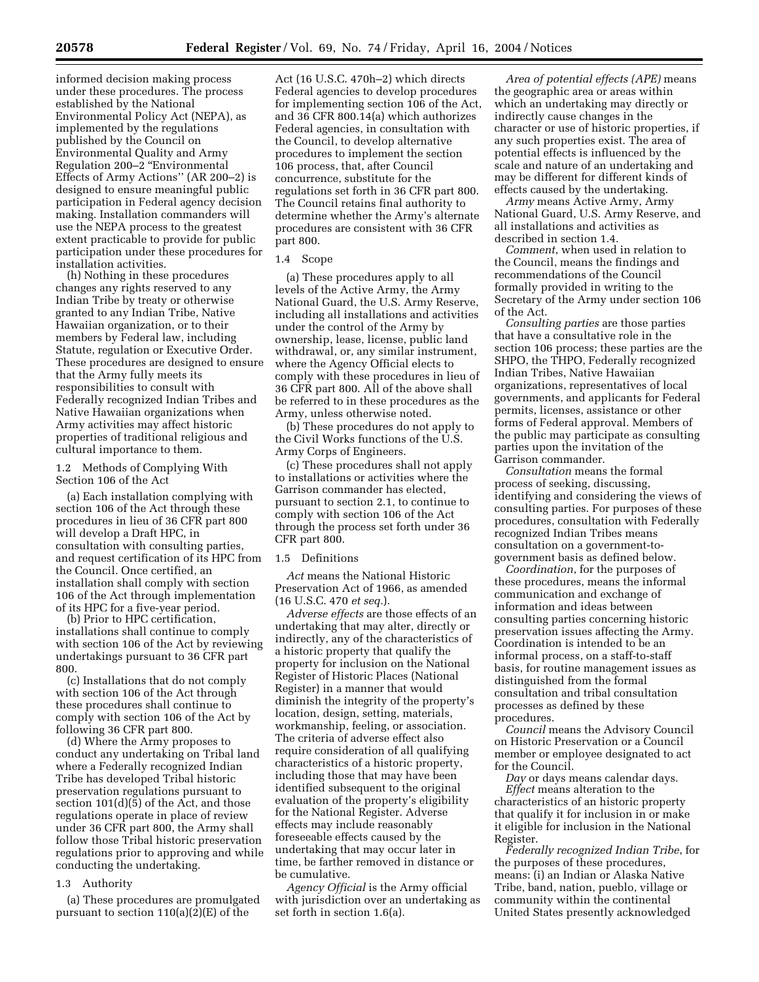informed decision making process under these procedures. The process established by the National Environmental Policy Act (NEPA), as implemented by the regulations published by the Council on Environmental Quality and Army Regulation 200–2 ''Environmental Effects of Army Actions'' (AR 200–2) is designed to ensure meaningful public participation in Federal agency decision making. Installation commanders will use the NEPA process to the greatest extent practicable to provide for public

participation under these procedures for installation activities. (h) Nothing in these procedures changes any rights reserved to any Indian Tribe by treaty or otherwise granted to any Indian Tribe, Native

Hawaiian organization, or to their members by Federal law, including Statute, regulation or Executive Order. These procedures are designed to ensure that the Army fully meets its responsibilities to consult with Federally recognized Indian Tribes and Native Hawaiian organizations when Army activities may affect historic properties of traditional religious and cultural importance to them.

1.2 Methods of Complying With Section 106 of the Act

(a) Each installation complying with section 106 of the Act through these procedures in lieu of 36 CFR part 800 will develop a Draft HPC, in consultation with consulting parties, and request certification of its HPC from the Council. Once certified, an installation shall comply with section 106 of the Act through implementation of its HPC for a five-year period.

(b) Prior to HPC certification, installations shall continue to comply with section 106 of the Act by reviewing undertakings pursuant to 36 CFR part 800.

(c) Installations that do not comply with section 106 of the Act through these procedures shall continue to comply with section 106 of the Act by following 36 CFR part 800.

(d) Where the Army proposes to conduct any undertaking on Tribal land where a Federally recognized Indian Tribe has developed Tribal historic preservation regulations pursuant to section 101(d)(5) of the Act, and those regulations operate in place of review under 36 CFR part 800, the Army shall follow those Tribal historic preservation regulations prior to approving and while conducting the undertaking.

## 1.3 Authority

(a) These procedures are promulgated pursuant to section 110(a)(2)(E) of the

Act (16 U.S.C. 470h–2) which directs Federal agencies to develop procedures for implementing section 106 of the Act, and 36 CFR 800.14(a) which authorizes Federal agencies, in consultation with the Council, to develop alternative procedures to implement the section 106 process, that, after Council concurrence, substitute for the regulations set forth in 36 CFR part 800. The Council retains final authority to determine whether the Army's alternate procedures are consistent with 36 CFR part 800.

## 1.4 Scope

(a) These procedures apply to all levels of the Active Army, the Army National Guard, the U.S. Army Reserve, including all installations and activities under the control of the Army by ownership, lease, license, public land withdrawal, or, any similar instrument, where the Agency Official elects to comply with these procedures in lieu of 36 CFR part 800. All of the above shall be referred to in these procedures as the Army, unless otherwise noted.

(b) These procedures do not apply to the Civil Works functions of the U.S. Army Corps of Engineers.

(c) These procedures shall not apply to installations or activities where the Garrison commander has elected, pursuant to section 2.1, to continue to comply with section 106 of the Act through the process set forth under 36 CFR part 800.

## 1.5 Definitions

*Act* means the National Historic Preservation Act of 1966, as amended (16 U.S.C. 470 *et seq.*).

*Adverse effects* are those effects of an undertaking that may alter, directly or indirectly, any of the characteristics of a historic property that qualify the property for inclusion on the National Register of Historic Places (National Register) in a manner that would diminish the integrity of the property's location, design, setting, materials, workmanship, feeling, or association. The criteria of adverse effect also require consideration of all qualifying characteristics of a historic property, including those that may have been identified subsequent to the original evaluation of the property's eligibility for the National Register. Adverse effects may include reasonably foreseeable effects caused by the undertaking that may occur later in time, be farther removed in distance or be cumulative.

*Agency Official* is the Army official with jurisdiction over an undertaking as set forth in section 1.6(a).

*Area of potential effects (APE)* means the geographic area or areas within which an undertaking may directly or indirectly cause changes in the character or use of historic properties, if any such properties exist. The area of potential effects is influenced by the scale and nature of an undertaking and may be different for different kinds of effects caused by the undertaking.

*Army* means Active Army, Army National Guard, U.S. Army Reserve, and all installations and activities as described in section 1.4.

*Comment*, when used in relation to the Council, means the findings and recommendations of the Council formally provided in writing to the Secretary of the Army under section 106 of the Act.

*Consulting parties* are those parties that have a consultative role in the section 106 process; these parties are the SHPO, the THPO, Federally recognized Indian Tribes, Native Hawaiian organizations, representatives of local governments, and applicants for Federal permits, licenses, assistance or other forms of Federal approval. Members of the public may participate as consulting parties upon the invitation of the Garrison commander.

*Consultation* means the formal process of seeking, discussing, identifying and considering the views of consulting parties. For purposes of these procedures, consultation with Federally recognized Indian Tribes means consultation on a government-togovernment basis as defined below.

*Coordination*, for the purposes of these procedures, means the informal communication and exchange of information and ideas between consulting parties concerning historic preservation issues affecting the Army. Coordination is intended to be an informal process, on a staff-to-staff basis, for routine management issues as distinguished from the formal consultation and tribal consultation processes as defined by these procedures.

*Council* means the Advisory Council on Historic Preservation or a Council member or employee designated to act for the Council.

*Day* or days means calendar days. *Effect* means alteration to the characteristics of an historic property that qualify it for inclusion in or make it eligible for inclusion in the National Register.

*Federally recognized Indian Tribe*, for the purposes of these procedures, means: (i) an Indian or Alaska Native Tribe, band, nation, pueblo, village or community within the continental United States presently acknowledged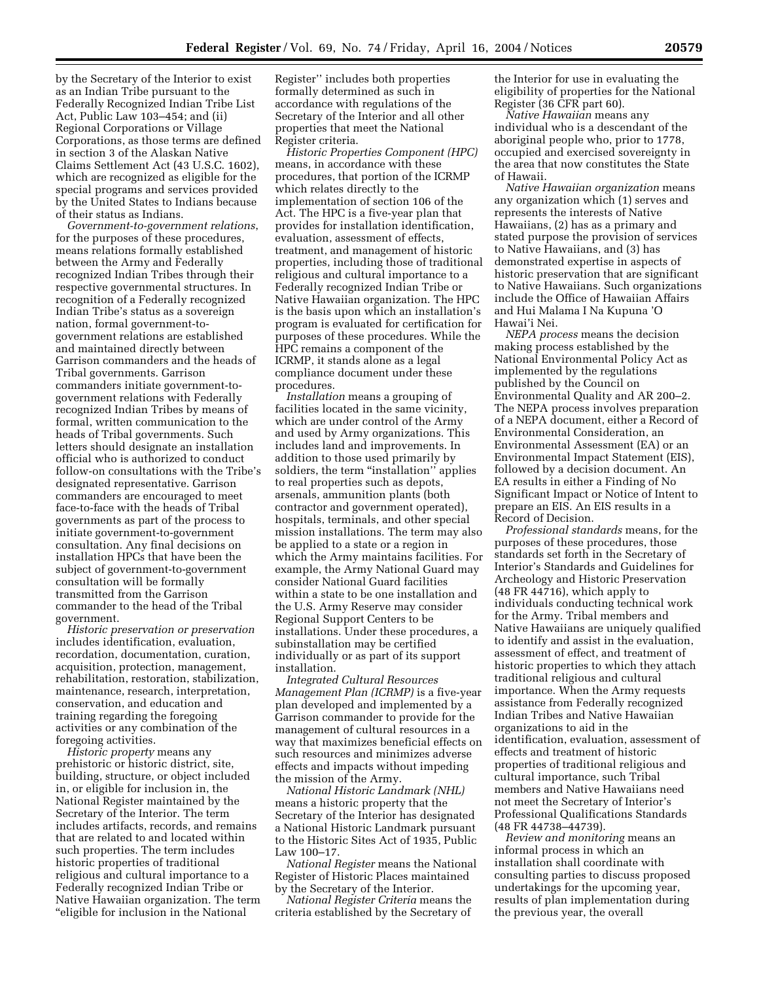by the Secretary of the Interior to exist as an Indian Tribe pursuant to the Federally Recognized Indian Tribe List Act, Public Law 103–454; and (ii) Regional Corporations or Village Corporations, as those terms are defined in section 3 of the Alaskan Native Claims Settlement Act (43 U.S.C. 1602), which are recognized as eligible for the special programs and services provided by the United States to Indians because of their status as Indians.

*Government-to-government relations*, for the purposes of these procedures, means relations formally established between the Army and Federally recognized Indian Tribes through their respective governmental structures. In recognition of a Federally recognized Indian Tribe's status as a sovereign nation, formal government-togovernment relations are established and maintained directly between Garrison commanders and the heads of Tribal governments. Garrison commanders initiate government-togovernment relations with Federally recognized Indian Tribes by means of formal, written communication to the heads of Tribal governments. Such letters should designate an installation official who is authorized to conduct follow-on consultations with the Tribe's designated representative. Garrison commanders are encouraged to meet face-to-face with the heads of Tribal governments as part of the process to initiate government-to-government consultation. Any final decisions on installation HPCs that have been the subject of government-to-government consultation will be formally transmitted from the Garrison commander to the head of the Tribal government.

*Historic preservation or preservation*  includes identification, evaluation, recordation, documentation, curation, acquisition, protection, management, rehabilitation, restoration, stabilization, maintenance, research, interpretation, conservation, and education and training regarding the foregoing activities or any combination of the foregoing activities.

*Historic property* means any prehistoric or historic district, site, building, structure, or object included in, or eligible for inclusion in, the National Register maintained by the Secretary of the Interior. The term includes artifacts, records, and remains that are related to and located within such properties. The term includes historic properties of traditional religious and cultural importance to a Federally recognized Indian Tribe or Native Hawaiian organization. The term ''eligible for inclusion in the National

Register'' includes both properties formally determined as such in accordance with regulations of the Secretary of the Interior and all other properties that meet the National Register criteria.

*Historic Properties Component (HPC)*  means, in accordance with these procedures, that portion of the ICRMP which relates directly to the implementation of section 106 of the Act. The HPC is a five-year plan that provides for installation identification, evaluation, assessment of effects, treatment, and management of historic properties, including those of traditional religious and cultural importance to a Federally recognized Indian Tribe or Native Hawaiian organization. The HPC is the basis upon which an installation's program is evaluated for certification for purposes of these procedures. While the HPC remains a component of the ICRMP, it stands alone as a legal compliance document under these procedures.

*Installation* means a grouping of facilities located in the same vicinity, which are under control of the Army and used by Army organizations. This includes land and improvements. In addition to those used primarily by soldiers, the term "installation" applies to real properties such as depots, arsenals, ammunition plants (both contractor and government operated), hospitals, terminals, and other special mission installations. The term may also be applied to a state or a region in which the Army maintains facilities. For example, the Army National Guard may consider National Guard facilities within a state to be one installation and the U.S. Army Reserve may consider Regional Support Centers to be installations. Under these procedures, a subinstallation may be certified individually or as part of its support installation.

*Integrated Cultural Resources Management Plan (ICRMP)* is a five-year plan developed and implemented by a Garrison commander to provide for the management of cultural resources in a way that maximizes beneficial effects on such resources and minimizes adverse effects and impacts without impeding the mission of the Army.

*National Historic Landmark (NHL)*  means a historic property that the Secretary of the Interior has designated a National Historic Landmark pursuant to the Historic Sites Act of 1935, Public Law 100–17.

*National Register* means the National Register of Historic Places maintained by the Secretary of the Interior.

*National Register Criteria* means the criteria established by the Secretary of the Interior for use in evaluating the eligibility of properties for the National Register (36 CFR part 60).

*Native Hawaiian* means any individual who is a descendant of the aboriginal people who, prior to 1778, occupied and exercised sovereignty in the area that now constitutes the State of Hawaii.

*Native Hawaiian organization* means any organization which (1) serves and represents the interests of Native Hawaiians, (2) has as a primary and stated purpose the provision of services to Native Hawaiians, and (3) has demonstrated expertise in aspects of historic preservation that are significant to Native Hawaiians. Such organizations include the Office of Hawaiian Affairs and Hui Malama I Na Kupuna 'O Hawai'i Nei.

*NEPA process* means the decision making process established by the National Environmental Policy Act as implemented by the regulations published by the Council on Environmental Quality and AR 200–2. The NEPA process involves preparation of a NEPA document, either a Record of Environmental Consideration, an Environmental Assessment (EA) or an Environmental Impact Statement (EIS), followed by a decision document. An EA results in either a Finding of No Significant Impact or Notice of Intent to prepare an EIS. An EIS results in a Record of Decision.

*Professional standards* means, for the purposes of these procedures, those standards set forth in the Secretary of Interior's Standards and Guidelines for Archeology and Historic Preservation (48 FR 44716), which apply to individuals conducting technical work for the Army. Tribal members and Native Hawaiians are uniquely qualified to identify and assist in the evaluation, assessment of effect, and treatment of historic properties to which they attach traditional religious and cultural importance. When the Army requests assistance from Federally recognized Indian Tribes and Native Hawaiian organizations to aid in the identification, evaluation, assessment of effects and treatment of historic properties of traditional religious and cultural importance, such Tribal members and Native Hawaiians need not meet the Secretary of Interior's Professional Qualifications Standards (48 FR 44738–44739).

*Review and monitoring* means an informal process in which an installation shall coordinate with consulting parties to discuss proposed undertakings for the upcoming year, results of plan implementation during the previous year, the overall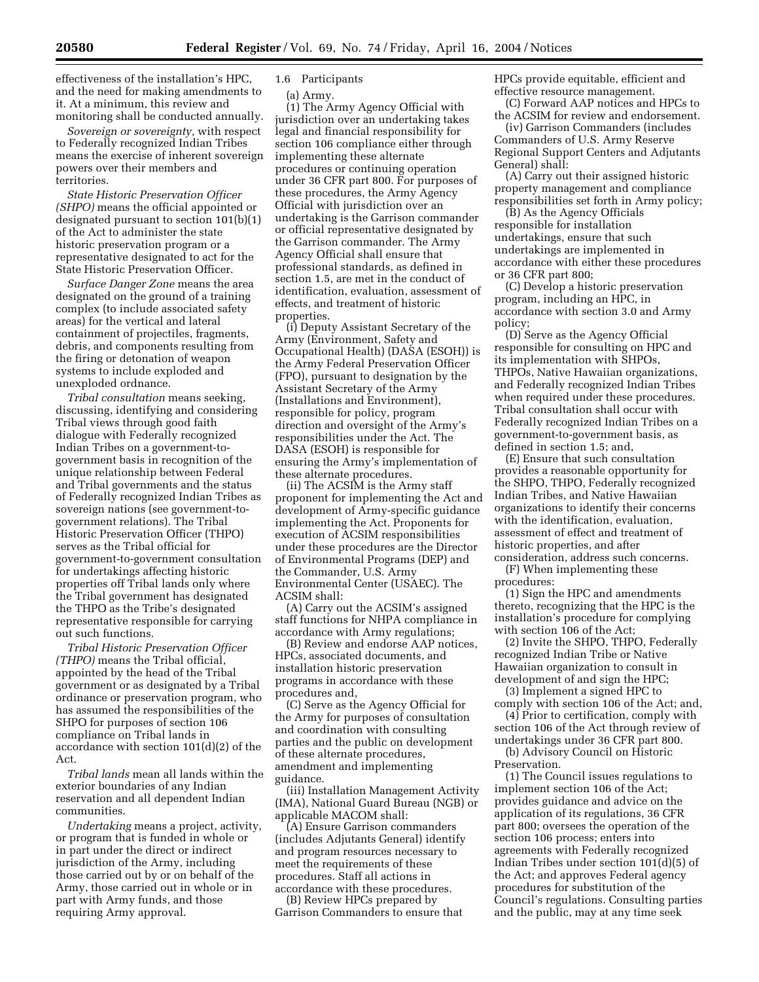effectiveness of the installation's HPC, and the need for making amendments to it. At a minimum, this review and monitoring shall be conducted annually.

*Sovereign or sovereignty,* with respect to Federally recognized Indian Tribes means the exercise of inherent sovereign powers over their members and territories.

*State Historic Preservation Officer (SHPO)* means the official appointed or designated pursuant to section 101(b)(1) of the Act to administer the state historic preservation program or a representative designated to act for the State Historic Preservation Officer.

*Surface Danger Zone* means the area designated on the ground of a training complex (to include associated safety areas) for the vertical and lateral containment of projectiles, fragments, debris, and components resulting from the firing or detonation of weapon systems to include exploded and unexploded ordnance.

*Tribal consultation* means seeking, discussing, identifying and considering Tribal views through good faith dialogue with Federally recognized Indian Tribes on a government-togovernment basis in recognition of the unique relationship between Federal and Tribal governments and the status of Federally recognized Indian Tribes as sovereign nations (see government-togovernment relations). The Tribal Historic Preservation Officer (THPO) serves as the Tribal official for government-to-government consultation for undertakings affecting historic properties off Tribal lands only where the Tribal government has designated the THPO as the Tribe's designated representative responsible for carrying out such functions.

*Tribal Historic Preservation Officer (THPO)* means the Tribal official, appointed by the head of the Tribal government or as designated by a Tribal ordinance or preservation program, who has assumed the responsibilities of the SHPO for purposes of section 106 compliance on Tribal lands in accordance with section 101(d)(2) of the Act.

*Tribal lands* mean all lands within the exterior boundaries of any Indian reservation and all dependent Indian communities.

*Undertaking* means a project, activity, or program that is funded in whole or in part under the direct or indirect jurisdiction of the Army, including those carried out by or on behalf of the Army, those carried out in whole or in part with Army funds, and those requiring Army approval.

# 1.6 Participants

(a) Army.

(1) The Army Agency Official with jurisdiction over an undertaking takes legal and financial responsibility for section 106 compliance either through implementing these alternate procedures or continuing operation under 36 CFR part 800. For purposes of these procedures, the Army Agency Official with jurisdiction over an undertaking is the Garrison commander or official representative designated by the Garrison commander. The Army Agency Official shall ensure that professional standards, as defined in section 1.5, are met in the conduct of identification, evaluation, assessment of effects, and treatment of historic properties.

(i) Deputy Assistant Secretary of the Army (Environment, Safety and Occupational Health) (DASA (ESOH)) is the Army Federal Preservation Officer (FPO), pursuant to designation by the Assistant Secretary of the Army (Installations and Environment), responsible for policy, program direction and oversight of the Army's responsibilities under the Act. The DASA (ESOH) is responsible for ensuring the Army's implementation of these alternate procedures.

(ii) The ACSIM is the Army staff proponent for implementing the Act and development of Army-specific guidance implementing the Act. Proponents for execution of ACSIM responsibilities under these procedures are the Director of Environmental Programs (DEP) and the Commander, U.S. Army Environmental Center (USAEC). The ACSIM shall:

(A) Carry out the ACSIM's assigned staff functions for NHPA compliance in accordance with Army regulations;

(B) Review and endorse AAP notices, HPCs, associated documents, and installation historic preservation programs in accordance with these procedures and,

(C) Serve as the Agency Official for the Army for purposes of consultation and coordination with consulting parties and the public on development of these alternate procedures, amendment and implementing guidance.

(iii) Installation Management Activity (IMA), National Guard Bureau (NGB) or applicable MACOM shall:

(A) Ensure Garrison commanders (includes Adjutants General) identify and program resources necessary to meet the requirements of these procedures. Staff all actions in accordance with these procedures.

(B) Review HPCs prepared by Garrison Commanders to ensure that HPCs provide equitable, efficient and effective resource management.

(C) Forward AAP notices and HPCs to the ACSIM for review and endorsement.

(iv) Garrison Commanders (includes Commanders of U.S. Army Reserve Regional Support Centers and Adjutants General) shall:

(A) Carry out their assigned historic property management and compliance responsibilities set forth in Army policy;

(B) As the Agency Officials responsible for installation undertakings, ensure that such undertakings are implemented in accordance with either these procedures or 36 CFR part 800;

(C) Develop a historic preservation program, including an HPC, in accordance with section 3.0 and Army policy;

(D) Serve as the Agency Official responsible for consulting on HPC and its implementation with SHPOs, THPOs, Native Hawaiian organizations, and Federally recognized Indian Tribes when required under these procedures. Tribal consultation shall occur with Federally recognized Indian Tribes on a government-to-government basis, as defined in section 1.5; and,

(E) Ensure that such consultation provides a reasonable opportunity for the SHPO, THPO, Federally recognized Indian Tribes, and Native Hawaiian organizations to identify their concerns with the identification, evaluation, assessment of effect and treatment of historic properties, and after consideration, address such concerns.

(F) When implementing these procedures:

(1) Sign the HPC and amendments thereto, recognizing that the HPC is the installation's procedure for complying with section 106 of the Act;

(2) Invite the SHPO, THPO, Federally recognized Indian Tribe or Native Hawaiian organization to consult in development of and sign the HPC;

(3) Implement a signed HPC to comply with section 106 of the Act; and,

(4) Prior to certification, comply with section 106 of the Act through review of

undertakings under 36 CFR part 800. (b) Advisory Council on Historic Preservation.

(1) The Council issues regulations to implement section 106 of the Act; provides guidance and advice on the application of its regulations, 36 CFR part 800; oversees the operation of the section 106 process; enters into agreements with Federally recognized Indian Tribes under section 101(d)(5) of the Act; and approves Federal agency procedures for substitution of the Council's regulations. Consulting parties and the public, may at any time seek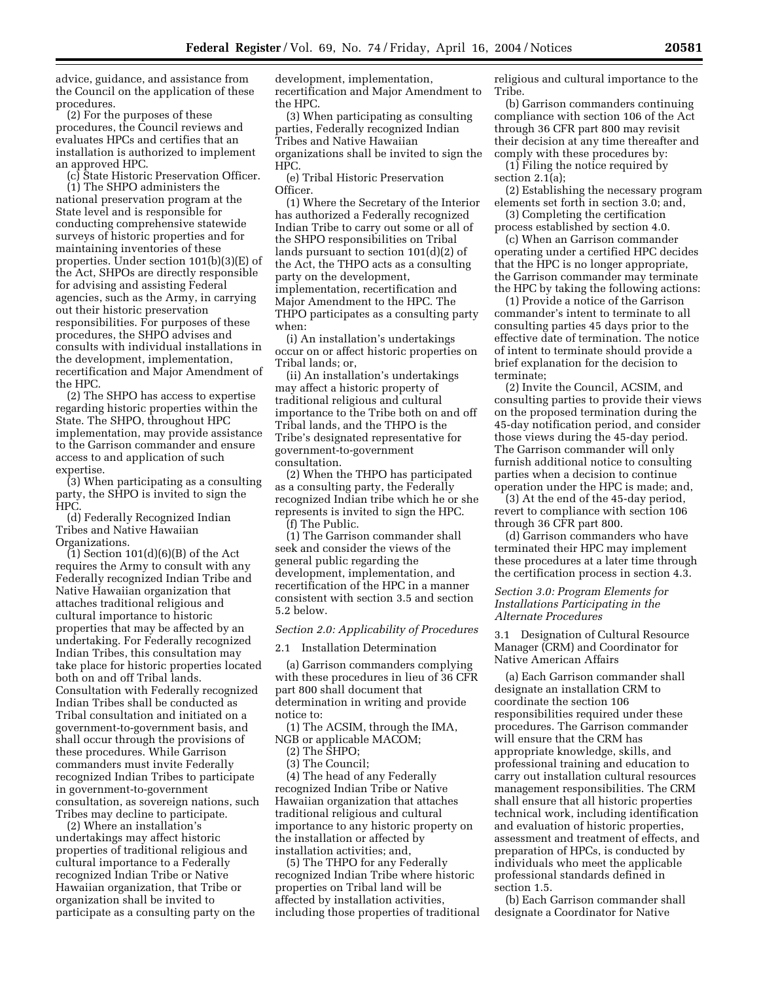advice, guidance, and assistance from the Council on the application of these procedures.

(2) For the purposes of these procedures, the Council reviews and evaluates HPCs and certifies that an installation is authorized to implement an approved HPC.

(c) State Historic Preservation Officer.

(1) The SHPO administers the national preservation program at the State level and is responsible for conducting comprehensive statewide surveys of historic properties and for maintaining inventories of these properties. Under section 101(b)(3)(E) of the Act, SHPOs are directly responsible for advising and assisting Federal agencies, such as the Army, in carrying out their historic preservation responsibilities. For purposes of these procedures, the SHPO advises and consults with individual installations in the development, implementation, recertification and Major Amendment of the HPC.

(2) The SHPO has access to expertise regarding historic properties within the State. The SHPO, throughout HPC implementation, may provide assistance to the Garrison commander and ensure access to and application of such expertise.

(3) When participating as a consulting party, the SHPO is invited to sign the HPC.

(d) Federally Recognized Indian Tribes and Native Hawaiian Organizations.

(1) Section 101(d)(6)(B) of the Act requires the Army to consult with any Federally recognized Indian Tribe and Native Hawaiian organization that attaches traditional religious and cultural importance to historic properties that may be affected by an undertaking. For Federally recognized Indian Tribes, this consultation may take place for historic properties located both on and off Tribal lands. Consultation with Federally recognized Indian Tribes shall be conducted as Tribal consultation and initiated on a government-to-government basis, and shall occur through the provisions of these procedures. While Garrison commanders must invite Federally recognized Indian Tribes to participate in government-to-government consultation, as sovereign nations, such Tribes may decline to participate.

(2) Where an installation's undertakings may affect historic properties of traditional religious and cultural importance to a Federally recognized Indian Tribe or Native Hawaiian organization, that Tribe or organization shall be invited to participate as a consulting party on the development, implementation, recertification and Major Amendment to the HPC.

(3) When participating as consulting parties, Federally recognized Indian Tribes and Native Hawaiian organizations shall be invited to sign the HPC.

(e) Tribal Historic Preservation Officer.

(1) Where the Secretary of the Interior has authorized a Federally recognized Indian Tribe to carry out some or all of the SHPO responsibilities on Tribal lands pursuant to section 101(d)(2) of the Act, the THPO acts as a consulting party on the development, implementation, recertification and Major Amendment to the HPC. The THPO participates as a consulting party when:

(i) An installation's undertakings occur on or affect historic properties on Tribal lands; or,

(ii) An installation's undertakings may affect a historic property of traditional religious and cultural importance to the Tribe both on and off Tribal lands, and the THPO is the Tribe's designated representative for government-to-government consultation.

(2) When the THPO has participated as a consulting party, the Federally recognized Indian tribe which he or she represents is invited to sign the HPC. (f) The Public.

(1) The Garrison commander shall seek and consider the views of the general public regarding the development, implementation, and recertification of the HPC in a manner consistent with section 3.5 and section 5.2 below.

## *Section 2.0: Applicability of Procedures*

2.1 Installation Determination

(a) Garrison commanders complying with these procedures in lieu of 36 CFR part 800 shall document that determination in writing and provide notice to:

(1) The ACSIM, through the IMA, NGB or applicable MACOM;

(2) The SHPO;

(3) The Council;

(4) The head of any Federally recognized Indian Tribe or Native Hawaiian organization that attaches traditional religious and cultural importance to any historic property on the installation or affected by installation activities; and,

(5) The THPO for any Federally recognized Indian Tribe where historic properties on Tribal land will be affected by installation activities, including those properties of traditional religious and cultural importance to the Tribe.

(b) Garrison commanders continuing compliance with section 106 of the Act through 36 CFR part 800 may revisit their decision at any time thereafter and comply with these procedures by:

(1) Filing the notice required by section 2.1(a);

(2) Establishing the necessary program elements set forth in section 3.0; and,

(3) Completing the certification process established by section 4.0.

(c) When an Garrison commander operating under a certified HPC decides that the HPC is no longer appropriate, the Garrison commander may terminate the HPC by taking the following actions:

(1) Provide a notice of the Garrison commander's intent to terminate to all consulting parties 45 days prior to the effective date of termination. The notice of intent to terminate should provide a brief explanation for the decision to terminate;

(2) Invite the Council, ACSIM, and consulting parties to provide their views on the proposed termination during the 45-day notification period, and consider those views during the 45-day period. The Garrison commander will only furnish additional notice to consulting parties when a decision to continue operation under the HPC is made; and,

(3) At the end of the 45-day period, revert to compliance with section 106 through 36 CFR part 800.

(d) Garrison commanders who have terminated their HPC may implement these procedures at a later time through the certification process in section 4.3.

## *Section 3.0: Program Elements for Installations Participating in the Alternate Procedures*

3.1 Designation of Cultural Resource Manager (CRM) and Coordinator for Native American Affairs

(a) Each Garrison commander shall designate an installation CRM to coordinate the section 106 responsibilities required under these procedures. The Garrison commander will ensure that the CRM has appropriate knowledge, skills, and professional training and education to carry out installation cultural resources management responsibilities. The CRM shall ensure that all historic properties technical work, including identification and evaluation of historic properties, assessment and treatment of effects, and preparation of HPCs, is conducted by individuals who meet the applicable professional standards defined in section 1.5.

(b) Each Garrison commander shall designate a Coordinator for Native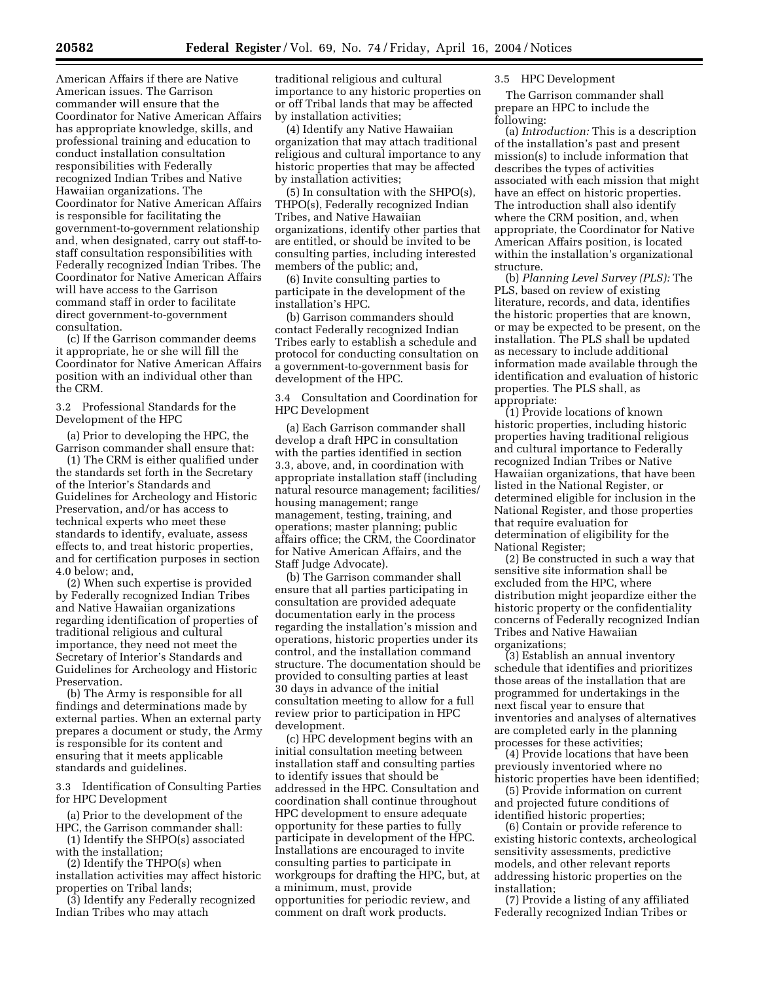American Affairs if there are Native American issues. The Garrison commander will ensure that the Coordinator for Native American Affairs has appropriate knowledge, skills, and professional training and education to conduct installation consultation responsibilities with Federally recognized Indian Tribes and Native Hawaiian organizations. The Coordinator for Native American Affairs is responsible for facilitating the government-to-government relationship and, when designated, carry out staff-tostaff consultation responsibilities with Federally recognized Indian Tribes. The Coordinator for Native American Affairs will have access to the Garrison command staff in order to facilitate direct government-to-government consultation.

(c) If the Garrison commander deems it appropriate, he or she will fill the Coordinator for Native American Affairs position with an individual other than the CRM.

3.2 Professional Standards for the Development of the HPC

(a) Prior to developing the HPC, the Garrison commander shall ensure that:

(1) The CRM is either qualified under the standards set forth in the Secretary of the Interior's Standards and Guidelines for Archeology and Historic Preservation, and/or has access to technical experts who meet these standards to identify, evaluate, assess effects to, and treat historic properties, and for certification purposes in section 4.0 below; and,

(2) When such expertise is provided by Federally recognized Indian Tribes and Native Hawaiian organizations regarding identification of properties of traditional religious and cultural importance, they need not meet the Secretary of Interior's Standards and Guidelines for Archeology and Historic Preservation.

(b) The Army is responsible for all findings and determinations made by external parties. When an external party prepares a document or study, the Army is responsible for its content and ensuring that it meets applicable standards and guidelines.

3.3 Identification of Consulting Parties for HPC Development

(a) Prior to the development of the HPC, the Garrison commander shall:

(1) Identify the SHPO(s) associated with the installation;

(2) Identify the THPO(s) when installation activities may affect historic properties on Tribal lands;

(3) Identify any Federally recognized Indian Tribes who may attach

traditional religious and cultural importance to any historic properties on or off Tribal lands that may be affected by installation activities;

(4) Identify any Native Hawaiian organization that may attach traditional religious and cultural importance to any historic properties that may be affected by installation activities;

(5) In consultation with the SHPO(s), THPO(s), Federally recognized Indian Tribes, and Native Hawaiian organizations, identify other parties that are entitled, or should be invited to be consulting parties, including interested members of the public; and,

(6) Invite consulting parties to participate in the development of the installation's HPC.

(b) Garrison commanders should contact Federally recognized Indian Tribes early to establish a schedule and protocol for conducting consultation on a government-to-government basis for development of the HPC.

3.4 Consultation and Coordination for HPC Development

(a) Each Garrison commander shall develop a draft HPC in consultation with the parties identified in section 3.3, above, and, in coordination with appropriate installation staff (including natural resource management; facilities/ housing management; range management, testing, training, and operations; master planning; public affairs office; the CRM, the Coordinator for Native American Affairs, and the Staff Judge Advocate).

(b) The Garrison commander shall ensure that all parties participating in consultation are provided adequate documentation early in the process regarding the installation's mission and operations, historic properties under its control, and the installation command structure. The documentation should be provided to consulting parties at least 30 days in advance of the initial consultation meeting to allow for a full review prior to participation in HPC development.

(c) HPC development begins with an initial consultation meeting between installation staff and consulting parties to identify issues that should be addressed in the HPC. Consultation and coordination shall continue throughout HPC development to ensure adequate opportunity for these parties to fully participate in development of the HPC. Installations are encouraged to invite consulting parties to participate in workgroups for drafting the HPC, but, at a minimum, must, provide opportunities for periodic review, and comment on draft work products.

## 3.5 HPC Development

The Garrison commander shall prepare an HPC to include the following:

(a) *Introduction:* This is a description of the installation's past and present mission(s) to include information that describes the types of activities associated with each mission that might have an effect on historic properties. The introduction shall also identify where the CRM position, and, when appropriate, the Coordinator for Native American Affairs position, is located within the installation's organizational structure.

(b) *Planning Level Survey (PLS):* The PLS, based on review of existing literature, records, and data, identifies the historic properties that are known, or may be expected to be present, on the installation. The PLS shall be updated as necessary to include additional information made available through the identification and evaluation of historic properties. The PLS shall, as appropriate:

(1) Provide locations of known historic properties, including historic properties having traditional religious and cultural importance to Federally recognized Indian Tribes or Native Hawaiian organizations, that have been listed in the National Register, or determined eligible for inclusion in the National Register, and those properties that require evaluation for determination of eligibility for the National Register;

(2) Be constructed in such a way that sensitive site information shall be excluded from the HPC, where distribution might jeopardize either the historic property or the confidentiality concerns of Federally recognized Indian Tribes and Native Hawaiian organizations;

(3) Establish an annual inventory schedule that identifies and prioritizes those areas of the installation that are programmed for undertakings in the next fiscal year to ensure that inventories and analyses of alternatives are completed early in the planning processes for these activities;

(4) Provide locations that have been previously inventoried where no historic properties have been identified;

(5) Provide information on current and projected future conditions of identified historic properties;

(6) Contain or provide reference to existing historic contexts, archeological sensitivity assessments, predictive models, and other relevant reports addressing historic properties on the installation;

(7) Provide a listing of any affiliated Federally recognized Indian Tribes or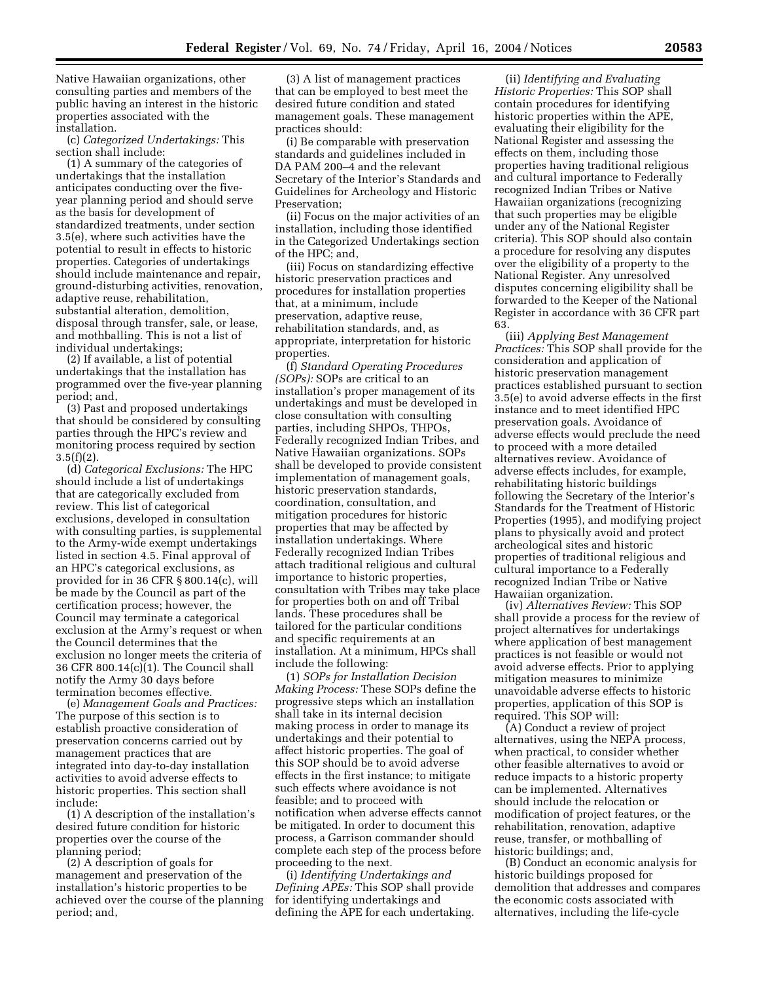Native Hawaiian organizations, other consulting parties and members of the public having an interest in the historic properties associated with the installation.

(c) *Categorized Undertakings:* This section shall include:

(1) A summary of the categories of undertakings that the installation anticipates conducting over the fiveyear planning period and should serve as the basis for development of standardized treatments, under section 3.5(e), where such activities have the potential to result in effects to historic properties. Categories of undertakings should include maintenance and repair, ground-disturbing activities, renovation, adaptive reuse, rehabilitation, substantial alteration, demolition, disposal through transfer, sale, or lease, and mothballing. This is not a list of individual undertakings;

(2) If available, a list of potential undertakings that the installation has programmed over the five-year planning period; and,

(3) Past and proposed undertakings that should be considered by consulting parties through the HPC's review and monitoring process required by section  $3.5(f)(2)$ .

(d) *Categorical Exclusions:* The HPC should include a list of undertakings that are categorically excluded from review. This list of categorical exclusions, developed in consultation with consulting parties, is supplemental to the Army-wide exempt undertakings listed in section 4.5. Final approval of an HPC's categorical exclusions, as provided for in 36 CFR § 800.14(c), will be made by the Council as part of the certification process; however, the Council may terminate a categorical exclusion at the Army's request or when the Council determines that the exclusion no longer meets the criteria of 36 CFR 800.14(c)(1). The Council shall notify the Army 30 days before termination becomes effective.

(e) *Management Goals and Practices:*  The purpose of this section is to establish proactive consideration of preservation concerns carried out by management practices that are integrated into day-to-day installation activities to avoid adverse effects to historic properties. This section shall include:

(1) A description of the installation's desired future condition for historic properties over the course of the planning period;

(2) A description of goals for management and preservation of the installation's historic properties to be achieved over the course of the planning period; and,

(3) A list of management practices that can be employed to best meet the desired future condition and stated management goals. These management practices should:

(i) Be comparable with preservation standards and guidelines included in DA PAM 200–4 and the relevant Secretary of the Interior's Standards and Guidelines for Archeology and Historic Preservation;

(ii) Focus on the major activities of an installation, including those identified in the Categorized Undertakings section of the HPC; and,

(iii) Focus on standardizing effective historic preservation practices and procedures for installation properties that, at a minimum, include preservation, adaptive reuse, rehabilitation standards, and, as appropriate, interpretation for historic properties.

(f) *Standard Operating Procedures (SOPs):* SOPs are critical to an installation's proper management of its undertakings and must be developed in close consultation with consulting parties, including SHPOs, THPOs, Federally recognized Indian Tribes, and Native Hawaiian organizations. SOPs shall be developed to provide consistent implementation of management goals, historic preservation standards, coordination, consultation, and mitigation procedures for historic properties that may be affected by installation undertakings. Where Federally recognized Indian Tribes attach traditional religious and cultural importance to historic properties, consultation with Tribes may take place for properties both on and off Tribal lands. These procedures shall be tailored for the particular conditions and specific requirements at an installation. At a minimum, HPCs shall include the following:

(1) *SOPs for Installation Decision Making Process:* These SOPs define the progressive steps which an installation shall take in its internal decision making process in order to manage its undertakings and their potential to affect historic properties. The goal of this SOP should be to avoid adverse effects in the first instance; to mitigate such effects where avoidance is not feasible; and to proceed with notification when adverse effects cannot be mitigated. In order to document this process, a Garrison commander should complete each step of the process before proceeding to the next.

(i) *Identifying Undertakings and Defining APEs:* This SOP shall provide for identifying undertakings and defining the APE for each undertaking.

(ii) *Identifying and Evaluating Historic Properties:* This SOP shall contain procedures for identifying historic properties within the APE, evaluating their eligibility for the National Register and assessing the effects on them, including those properties having traditional religious and cultural importance to Federally recognized Indian Tribes or Native Hawaiian organizations (recognizing that such properties may be eligible under any of the National Register criteria). This SOP should also contain a procedure for resolving any disputes over the eligibility of a property to the National Register. Any unresolved disputes concerning eligibility shall be forwarded to the Keeper of the National Register in accordance with 36 CFR part 63.

(iii) *Applying Best Management Practices:* This SOP shall provide for the consideration and application of historic preservation management practices established pursuant to section 3.5(e) to avoid adverse effects in the first instance and to meet identified HPC preservation goals. Avoidance of adverse effects would preclude the need to proceed with a more detailed alternatives review. Avoidance of adverse effects includes, for example, rehabilitating historic buildings following the Secretary of the Interior's Standards for the Treatment of Historic Properties (1995), and modifying project plans to physically avoid and protect archeological sites and historic properties of traditional religious and cultural importance to a Federally recognized Indian Tribe or Native Hawaiian organization.

(iv) *Alternatives Review:* This SOP shall provide a process for the review of project alternatives for undertakings where application of best management practices is not feasible or would not avoid adverse effects. Prior to applying mitigation measures to minimize unavoidable adverse effects to historic properties, application of this SOP is required. This SOP will:

(A) Conduct a review of project alternatives, using the NEPA process, when practical, to consider whether other feasible alternatives to avoid or reduce impacts to a historic property can be implemented. Alternatives should include the relocation or modification of project features, or the rehabilitation, renovation, adaptive reuse, transfer, or mothballing of historic buildings; and,

(B) Conduct an economic analysis for historic buildings proposed for demolition that addresses and compares the economic costs associated with alternatives, including the life-cycle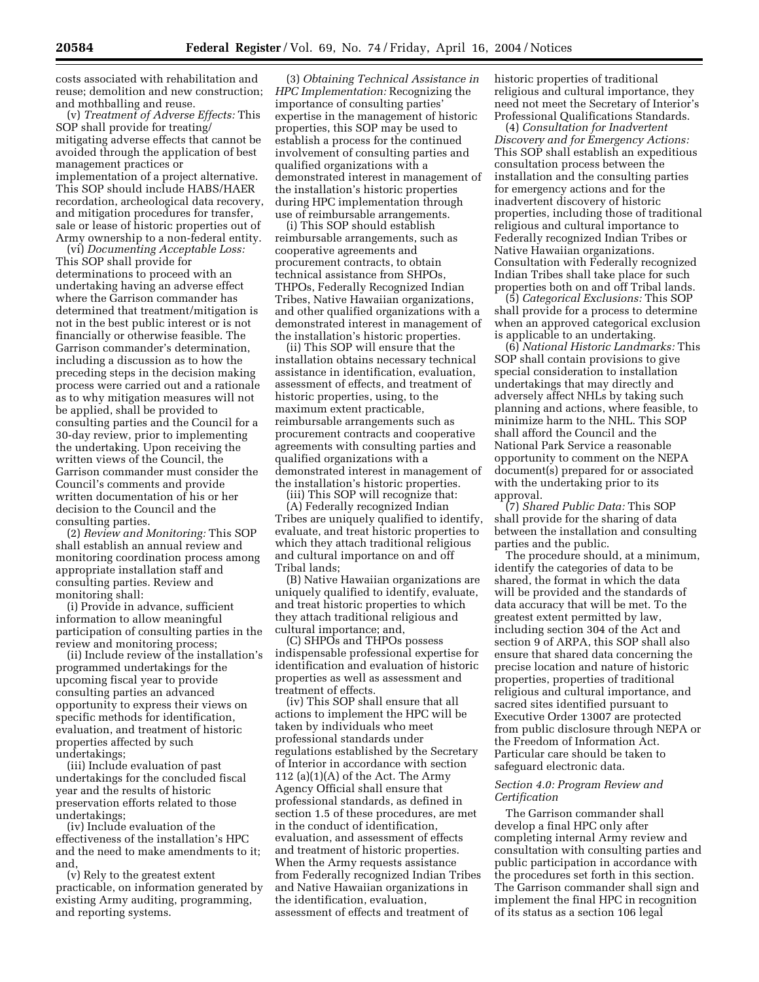costs associated with rehabilitation and reuse; demolition and new construction; and mothballing and reuse.

(v) *Treatment of Adverse Effects:* This SOP shall provide for treating/ mitigating adverse effects that cannot be avoided through the application of best management practices or implementation of a project alternative. This SOP should include HABS/HAER recordation, archeological data recovery, and mitigation procedures for transfer, sale or lease of historic properties out of Army ownership to a non-federal entity.

(vi) *Documenting Acceptable Loss:*  This SOP shall provide for determinations to proceed with an undertaking having an adverse effect where the Garrison commander has determined that treatment/mitigation is not in the best public interest or is not financially or otherwise feasible. The Garrison commander's determination, including a discussion as to how the preceding steps in the decision making process were carried out and a rationale as to why mitigation measures will not be applied, shall be provided to consulting parties and the Council for a 30-day review, prior to implementing the undertaking. Upon receiving the written views of the Council, the Garrison commander must consider the Council's comments and provide written documentation of his or her decision to the Council and the consulting parties.

(2) *Review and Monitoring:* This SOP shall establish an annual review and monitoring coordination process among appropriate installation staff and consulting parties. Review and monitoring shall:

(i) Provide in advance, sufficient information to allow meaningful participation of consulting parties in the review and monitoring process;

(ii) Include review of the installation's programmed undertakings for the upcoming fiscal year to provide consulting parties an advanced opportunity to express their views on specific methods for identification, evaluation, and treatment of historic properties affected by such undertakings;

(iii) Include evaluation of past undertakings for the concluded fiscal year and the results of historic preservation efforts related to those undertakings;

(iv) Include evaluation of the effectiveness of the installation's HPC and the need to make amendments to it; and,

(v) Rely to the greatest extent practicable, on information generated by existing Army auditing, programming, and reporting systems.

(3) *Obtaining Technical Assistance in HPC Implementation:* Recognizing the importance of consulting parties' expertise in the management of historic properties, this SOP may be used to establish a process for the continued involvement of consulting parties and qualified organizations with a demonstrated interest in management of the installation's historic properties during HPC implementation through use of reimbursable arrangements.

(i) This SOP should establish reimbursable arrangements, such as cooperative agreements and procurement contracts, to obtain technical assistance from SHPOs, THPOs, Federally Recognized Indian Tribes, Native Hawaiian organizations, and other qualified organizations with a demonstrated interest in management of the installation's historic properties.

(ii) This SOP will ensure that the installation obtains necessary technical assistance in identification, evaluation, assessment of effects, and treatment of historic properties, using, to the maximum extent practicable, reimbursable arrangements such as procurement contracts and cooperative agreements with consulting parties and qualified organizations with a demonstrated interest in management of the installation's historic properties.

(iii) This SOP will recognize that:

(A) Federally recognized Indian Tribes are uniquely qualified to identify, evaluate, and treat historic properties to which they attach traditional religious and cultural importance on and off Tribal lands;

(B) Native Hawaiian organizations are uniquely qualified to identify, evaluate, and treat historic properties to which they attach traditional religious and cultural importance; and,

(C) SHPOs and THPOs possess indispensable professional expertise for identification and evaluation of historic properties as well as assessment and treatment of effects.

(iv) This SOP shall ensure that all actions to implement the HPC will be taken by individuals who meet professional standards under regulations established by the Secretary of Interior in accordance with section 112 (a) $(1)(A)$  of the Act. The Army Agency Official shall ensure that professional standards, as defined in section 1.5 of these procedures, are met in the conduct of identification, evaluation, and assessment of effects and treatment of historic properties. When the Army requests assistance from Federally recognized Indian Tribes and Native Hawaiian organizations in the identification, evaluation, assessment of effects and treatment of

historic properties of traditional religious and cultural importance, they need not meet the Secretary of Interior's Professional Qualifications Standards.

(4) *Consultation for Inadvertent Discovery and for Emergency Actions:*  This SOP shall establish an expeditious consultation process between the installation and the consulting parties for emergency actions and for the inadvertent discovery of historic properties, including those of traditional religious and cultural importance to Federally recognized Indian Tribes or Native Hawaiian organizations. Consultation with Federally recognized Indian Tribes shall take place for such properties both on and off Tribal lands.

(5) *Categorical Exclusions:* This SOP shall provide for a process to determine when an approved categorical exclusion is applicable to an undertaking.

(6) *National Historic Landmarks:* This SOP shall contain provisions to give special consideration to installation undertakings that may directly and adversely affect NHLs by taking such planning and actions, where feasible, to minimize harm to the NHL. This SOP shall afford the Council and the National Park Service a reasonable opportunity to comment on the NEPA document(s) prepared for or associated with the undertaking prior to its approval.

(7) *Shared Public Data:* This SOP shall provide for the sharing of data between the installation and consulting parties and the public.

The procedure should, at a minimum, identify the categories of data to be shared, the format in which the data will be provided and the standards of data accuracy that will be met. To the greatest extent permitted by law, including section 304 of the Act and section 9 of ARPA, this SOP shall also ensure that shared data concerning the precise location and nature of historic properties, properties of traditional religious and cultural importance, and sacred sites identified pursuant to Executive Order 13007 are protected from public disclosure through NEPA or the Freedom of Information Act. Particular care should be taken to safeguard electronic data.

## *Section 4.0: Program Review and Certification*

The Garrison commander shall develop a final HPC only after completing internal Army review and consultation with consulting parties and public participation in accordance with the procedures set forth in this section. The Garrison commander shall sign and implement the final HPC in recognition of its status as a section 106 legal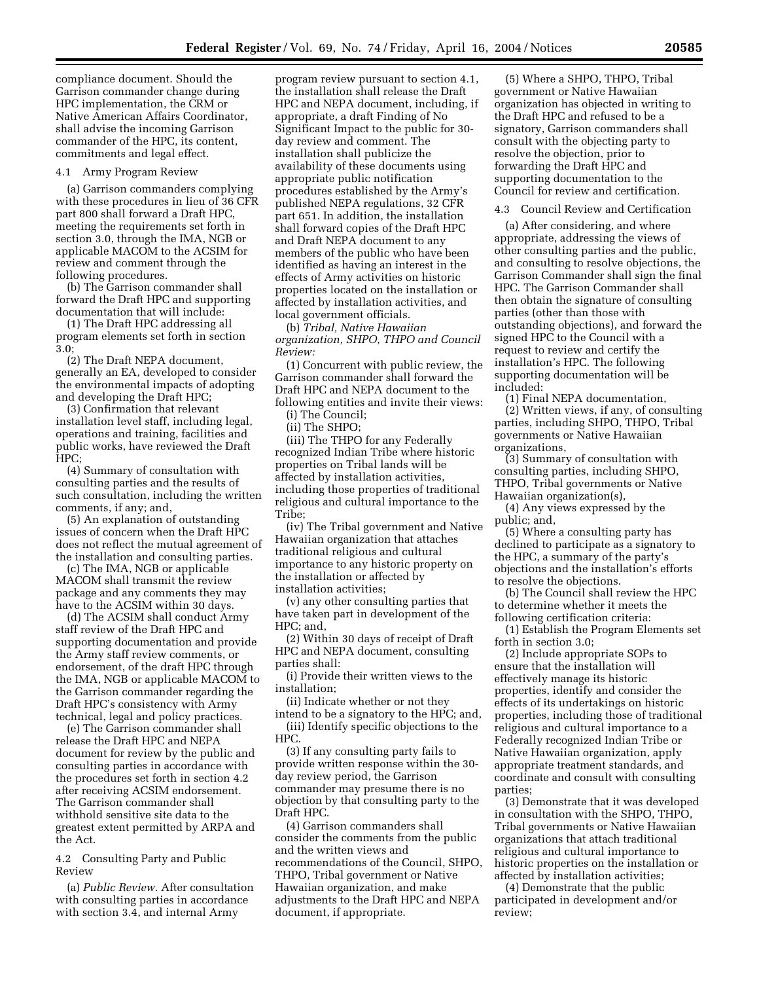compliance document. Should the Garrison commander change during HPC implementation, the CRM or Native American Affairs Coordinator, shall advise the incoming Garrison commander of the HPC, its content, commitments and legal effect.

#### 4.1 Army Program Review

(a) Garrison commanders complying with these procedures in lieu of 36 CFR part 800 shall forward a Draft HPC, meeting the requirements set forth in section 3.0, through the IMA, NGB or applicable MACOM to the ACSIM for review and comment through the following procedures.

(b) The Garrison commander shall forward the Draft HPC and supporting documentation that will include:

(1) The Draft HPC addressing all program elements set forth in section 3.0;

(2) The Draft NEPA document, generally an EA, developed to consider the environmental impacts of adopting and developing the Draft HPC;

(3) Confirmation that relevant installation level staff, including legal, operations and training, facilities and public works, have reviewed the Draft HPC;

(4) Summary of consultation with consulting parties and the results of such consultation, including the written comments, if any; and,

(5) An explanation of outstanding issues of concern when the Draft HPC does not reflect the mutual agreement of the installation and consulting parties.

(c) The IMA, NGB or applicable MACOM shall transmit the review package and any comments they may have to the ACSIM within 30 days.

(d) The ACSIM shall conduct Army staff review of the Draft HPC and supporting documentation and provide the Army staff review comments, or endorsement, of the draft HPC through the IMA, NGB or applicable MACOM to the Garrison commander regarding the Draft HPC's consistency with Army technical, legal and policy practices.

(e) The Garrison commander shall release the Draft HPC and NEPA document for review by the public and consulting parties in accordance with the procedures set forth in section 4.2 after receiving ACSIM endorsement. The Garrison commander shall withhold sensitive site data to the greatest extent permitted by ARPA and the Act.

4.2 Consulting Party and Public Review

(a) *Public Review.* After consultation with consulting parties in accordance with section 3.4, and internal Army

program review pursuant to section 4.1, the installation shall release the Draft HPC and NEPA document, including, if appropriate, a draft Finding of No Significant Impact to the public for 30 day review and comment. The installation shall publicize the availability of these documents using appropriate public notification procedures established by the Army's published NEPA regulations, 32 CFR part 651. In addition, the installation shall forward copies of the Draft HPC and Draft NEPA document to any members of the public who have been identified as having an interest in the effects of Army activities on historic properties located on the installation or affected by installation activities, and local government officials.

(b) *Tribal, Native Hawaiian organization, SHPO, THPO and Council Review:* 

(1) Concurrent with public review, the Garrison commander shall forward the Draft HPC and NEPA document to the following entities and invite their views:

(i) The Council;

(ii) The SHPO; (iii) The THPO for any Federally recognized Indian Tribe where historic properties on Tribal lands will be affected by installation activities, including those properties of traditional religious and cultural importance to the Tribe;

(iv) The Tribal government and Native Hawaiian organization that attaches traditional religious and cultural importance to any historic property on the installation or affected by installation activities;

(v) any other consulting parties that have taken part in development of the HPC; and,

(2) Within 30 days of receipt of Draft HPC and NEPA document, consulting parties shall:

(i) Provide their written views to the installation;

(ii) Indicate whether or not they

intend to be a signatory to the HPC; and, (iii) Identify specific objections to the HPC.

(3) If any consulting party fails to provide written response within the 30 day review period, the Garrison commander may presume there is no objection by that consulting party to the Draft HPC.

(4) Garrison commanders shall consider the comments from the public and the written views and recommendations of the Council, SHPO, THPO, Tribal government or Native Hawaiian organization, and make adjustments to the Draft HPC and NEPA document, if appropriate.

(5) Where a SHPO, THPO, Tribal government or Native Hawaiian organization has objected in writing to the Draft HPC and refused to be a signatory, Garrison commanders shall consult with the objecting party to resolve the objection, prior to forwarding the Draft HPC and supporting documentation to the Council for review and certification.

4.3 Council Review and Certification

(a) After considering, and where appropriate, addressing the views of other consulting parties and the public, and consulting to resolve objections, the Garrison Commander shall sign the final HPC. The Garrison Commander shall then obtain the signature of consulting parties (other than those with outstanding objections), and forward the signed HPC to the Council with a request to review and certify the installation's HPC. The following supporting documentation will be included:

(1) Final NEPA documentation, (2) Written views, if any, of consulting parties, including SHPO, THPO, Tribal governments or Native Hawaiian organizations,

(3) Summary of consultation with consulting parties, including SHPO, THPO, Tribal governments or Native Hawaiian organization(s),

(4) Any views expressed by the public; and,

(5) Where a consulting party has declined to participate as a signatory to the HPC, a summary of the party's objections and the installation's efforts to resolve the objections.

(b) The Council shall review the HPC to determine whether it meets the following certification criteria:

(1) Establish the Program Elements set forth in section 3.0;

(2) Include appropriate SOPs to ensure that the installation will effectively manage its historic properties, identify and consider the effects of its undertakings on historic properties, including those of traditional religious and cultural importance to a Federally recognized Indian Tribe or Native Hawaiian organization, apply appropriate treatment standards, and coordinate and consult with consulting parties;

(3) Demonstrate that it was developed in consultation with the SHPO, THPO, Tribal governments or Native Hawaiian organizations that attach traditional religious and cultural importance to historic properties on the installation or affected by installation activities;

(4) Demonstrate that the public participated in development and/or review;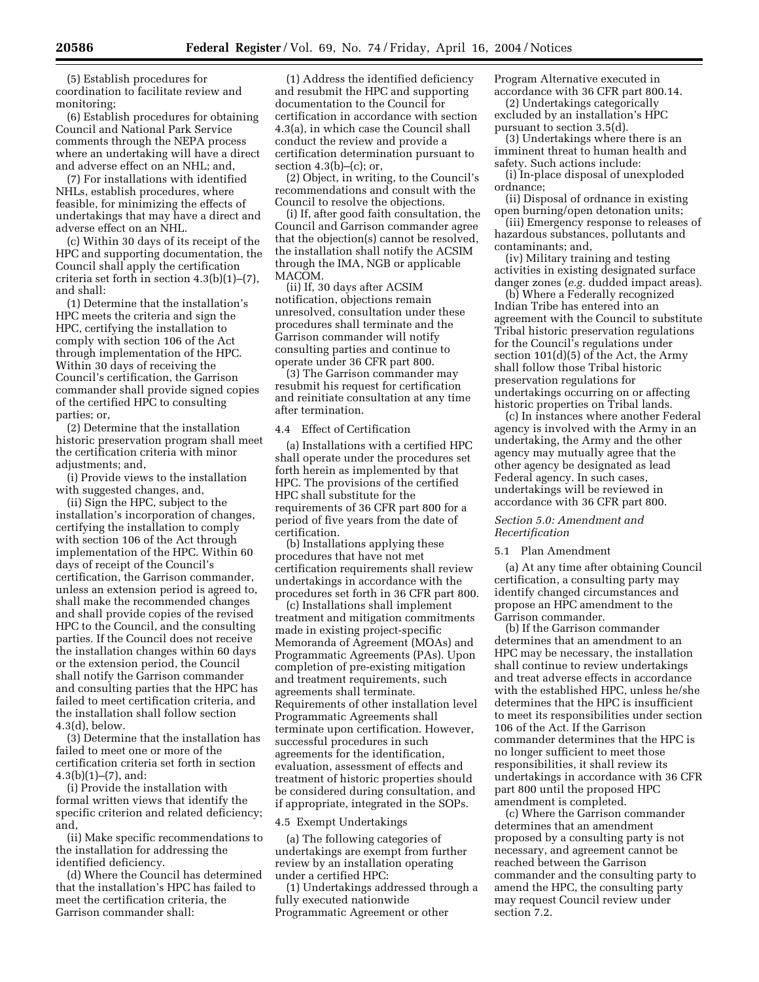(5) Establish procedures for coordination to facilitate review and monitoring;

(6) Establish procedures for obtaining Council and National Park Service comments through the NEPA process where an undertaking will have a direct and adverse effect on an NHL; and,

(7) For installations with identified NHLs, establish procedures, where feasible, for minimizing the effects of undertakings that may have a direct and adverse effect on an NHL.

(c) Within 30 days of its receipt of the HPC and supporting documentation, the Council shall apply the certification criteria set forth in section 4.3(b)(1)–(7), and shall:

(1) Determine that the installation's HPC meets the criteria and sign the HPC, certifying the installation to comply with section 106 of the Act through implementation of the HPC. Within 30 days of receiving the Council's certification, the Garrison commander shall provide signed copies of the certified HPC to consulting parties; or,

(2) Determine that the installation historic preservation program shall meet the certification criteria with minor adjustments; and,

(i) Provide views to the installation with suggested changes, and,

(ii) Sign the HPC, subject to the installation's incorporation of changes, certifying the installation to comply with section 106 of the Act through implementation of the HPC. Within 60 days of receipt of the Council's certification, the Garrison commander, unless an extension period is agreed to, shall make the recommended changes and shall provide copies of the revised HPC to the Council, and the consulting parties. If the Council does not receive the installation changes within 60 days or the extension period, the Council shall notify the Garrison commander and consulting parties that the HPC has failed to meet certification criteria, and the installation shall follow section 4.3(d), below.

(3) Determine that the installation has failed to meet one or more of the certification criteria set forth in section  $4.3(b)(1)–(7)$ , and:

(i) Provide the installation with formal written views that identify the specific criterion and related deficiency; and,

(ii) Make specific recommendations to the installation for addressing the identified deficiency.

(d) Where the Council has determined that the installation's HPC has failed to meet the certification criteria, the Garrison commander shall:

(1) Address the identified deficiency and resubmit the HPC and supporting documentation to the Council for certification in accordance with section 4.3(a), in which case the Council shall conduct the review and provide a certification determination pursuant to section  $4.3(b)$ – $(c)$ ; or,

(2) Object, in writing, to the Council's recommendations and consult with the Council to resolve the objections.

(i) If, after good faith consultation, the Council and Garrison commander agree that the objection(s) cannot be resolved, the installation shall notify the ACSIM through the IMA, NGB or applicable MACOM.

(ii) If, 30 days after ACSIM notification, objections remain unresolved, consultation under these procedures shall terminate and the Garrison commander will notify consulting parties and continue to operate under 36 CFR part 800.

(3) The Garrison commander may resubmit his request for certification and reinitiate consultation at any time after termination.

# 4.4 Effect of Certification

(a) Installations with a certified HPC shall operate under the procedures set forth herein as implemented by that HPC. The provisions of the certified HPC shall substitute for the requirements of 36 CFR part 800 for a period of five years from the date of certification.

(b) Installations applying these procedures that have not met certification requirements shall review undertakings in accordance with the procedures set forth in 36 CFR part 800.

(c) Installations shall implement treatment and mitigation commitments made in existing project-specific Memoranda of Agreement (MOAs) and Programmatic Agreements (PAs). Upon completion of pre-existing mitigation and treatment requirements, such agreements shall terminate. Requirements of other installation level Programmatic Agreements shall terminate upon certification. However, successful procedures in such agreements for the identification, evaluation, assessment of effects and treatment of historic properties should be considered during consultation, and if appropriate, integrated in the SOPs.

#### 4.5 Exempt Undertakings

(a) The following categories of undertakings are exempt from further review by an installation operating under a certified HPC:

(1) Undertakings addressed through a fully executed nationwide Programmatic Agreement or other

Program Alternative executed in accordance with 36 CFR part 800.14.

(2) Undertakings categorically excluded by an installation's HPC pursuant to section 3.5(d).

(3) Undertakings where there is an imminent threat to human health and

safety. Such actions include: (i) In-place disposal of unexploded ordnance;

(ii) Disposal of ordnance in existing open burning/open detonation units;

(iii) Emergency response to releases of hazardous substances, pollutants and contaminants; and,

(iv) Military training and testing activities in existing designated surface danger zones (*e.g.* dudded impact areas).

(b) Where a Federally recognized Indian Tribe has entered into an agreement with the Council to substitute Tribal historic preservation regulations for the Council's regulations under section 101(d)(5) of the Act, the Army shall follow those Tribal historic preservation regulations for undertakings occurring on or affecting historic properties on Tribal lands.

(c) In instances where another Federal agency is involved with the Army in an undertaking, the Army and the other agency may mutually agree that the other agency be designated as lead Federal agency. In such cases, undertakings will be reviewed in accordance with 36 CFR part 800.

## *Section 5.0: Amendment and Recertification*

#### 5.1 Plan Amendment

(a) At any time after obtaining Council certification, a consulting party may identify changed circumstances and propose an HPC amendment to the Garrison commander.

(b) If the Garrison commander determines that an amendment to an HPC may be necessary, the installation shall continue to review undertakings and treat adverse effects in accordance with the established HPC, unless he/she determines that the HPC is insufficient to meet its responsibilities under section 106 of the Act. If the Garrison commander determines that the HPC is no longer sufficient to meet those responsibilities, it shall review its undertakings in accordance with 36 CFR part 800 until the proposed HPC amendment is completed.

(c) Where the Garrison commander determines that an amendment proposed by a consulting party is not necessary, and agreement cannot be reached between the Garrison commander and the consulting party to amend the HPC, the consulting party may request Council review under section 7.2.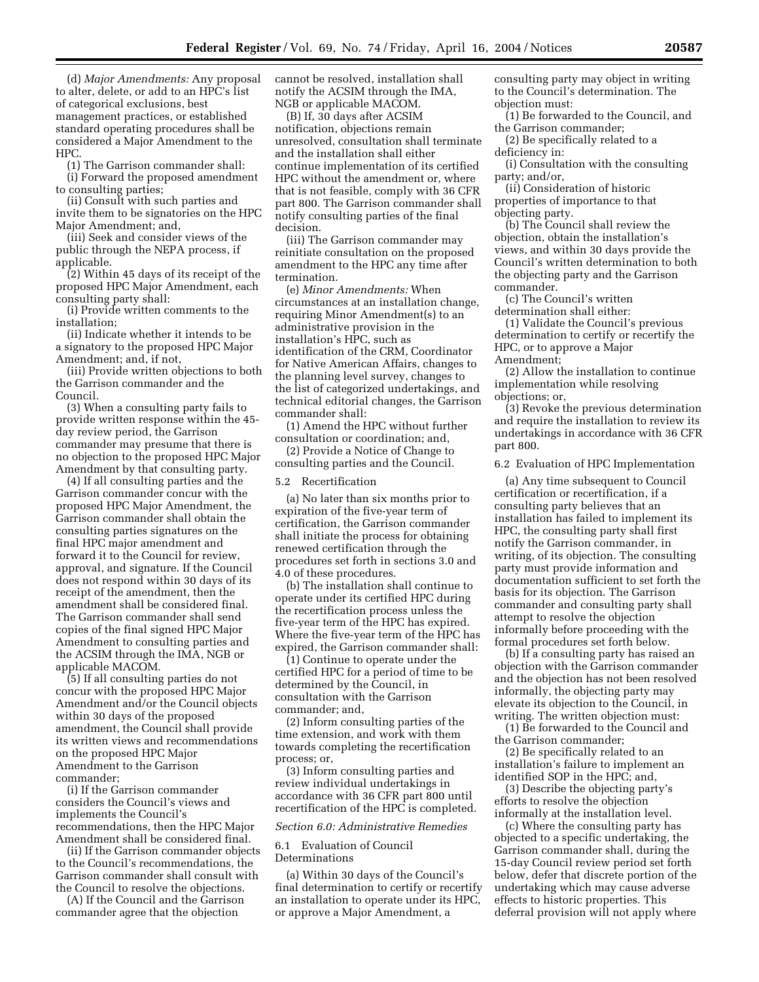(d) *Major Amendments:* Any proposal to alter, delete, or add to an HPC's list of categorical exclusions, best management practices, or established standard operating procedures shall be considered a Major Amendment to the HPC.

(1) The Garrison commander shall:

(i) Forward the proposed amendment to consulting parties;

(ii) Consult with such parties and invite them to be signatories on the HPC Major Amendment; and,

(iii) Seek and consider views of the public through the NEPA process, if applicable.

(2) Within 45 days of its receipt of the proposed HPC Major Amendment, each consulting party shall:

(i) Provide written comments to the installation;

(ii) Indicate whether it intends to be a signatory to the proposed HPC Major Amendment; and, if not,

(iii) Provide written objections to both the Garrison commander and the Council.

(3) When a consulting party fails to provide written response within the 45 day review period, the Garrison commander may presume that there is no objection to the proposed HPC Major Amendment by that consulting party.

(4) If all consulting parties and the Garrison commander concur with the proposed HPC Major Amendment, the Garrison commander shall obtain the consulting parties signatures on the final HPC major amendment and forward it to the Council for review, approval, and signature. If the Council does not respond within 30 days of its receipt of the amendment, then the amendment shall be considered final. The Garrison commander shall send copies of the final signed HPC Major Amendment to consulting parties and the ACSIM through the IMA, NGB or applicable MACOM.

(5) If all consulting parties do not concur with the proposed HPC Major Amendment and/or the Council objects within 30 days of the proposed amendment, the Council shall provide its written views and recommendations on the proposed HPC Major Amendment to the Garrison commander;

(i) If the Garrison commander considers the Council's views and implements the Council's recommendations, then the HPC Major Amendment shall be considered final.

(ii) If the Garrison commander objects to the Council's recommendations, the Garrison commander shall consult with the Council to resolve the objections.

(A) If the Council and the Garrison commander agree that the objection

cannot be resolved, installation shall notify the ACSIM through the IMA, NGB or applicable MACOM.

(B) If, 30 days after ACSIM notification, objections remain unresolved, consultation shall terminate and the installation shall either continue implementation of its certified HPC without the amendment or, where that is not feasible, comply with 36 CFR part 800. The Garrison commander shall notify consulting parties of the final decision.

(iii) The Garrison commander may reinitiate consultation on the proposed amendment to the HPC any time after termination.

(e) *Minor Amendments:* When circumstances at an installation change, requiring Minor Amendment(s) to an administrative provision in the installation's HPC, such as identification of the CRM, Coordinator for Native American Affairs, changes to the planning level survey, changes to the list of categorized undertakings, and technical editorial changes, the Garrison commander shall:

(1) Amend the HPC without further consultation or coordination; and,

(2) Provide a Notice of Change to consulting parties and the Council.

5.2 Recertification

(a) No later than six months prior to expiration of the five-year term of certification, the Garrison commander shall initiate the process for obtaining renewed certification through the procedures set forth in sections 3.0 and 4.0 of these procedures.

(b) The installation shall continue to operate under its certified HPC during the recertification process unless the five-year term of the HPC has expired. Where the five-year term of the HPC has expired, the Garrison commander shall:

(1) Continue to operate under the certified HPC for a period of time to be determined by the Council, in consultation with the Garrison commander; and,

(2) Inform consulting parties of the time extension, and work with them towards completing the recertification process; or,

(3) Inform consulting parties and review individual undertakings in accordance with 36 CFR part 800 until recertification of the HPC is completed.

#### *Section 6.0: Administrative Remedies*

6.1 Evaluation of Council Determinations

(a) Within 30 days of the Council's final determination to certify or recertify an installation to operate under its HPC, or approve a Major Amendment, a

consulting party may object in writing to the Council's determination. The objection must:

(1) Be forwarded to the Council, and the Garrison commander;

(2) Be specifically related to a deficiency in:

(i) Consultation with the consulting party; and/or,

(ii) Consideration of historic properties of importance to that objecting party.

(b) The Council shall review the objection, obtain the installation's views, and within 30 days provide the Council's written determination to both the objecting party and the Garrison commander.

(c) The Council's written determination shall either:

(1) Validate the Council's previous determination to certify or recertify the HPC, or to approve a Major Amendment;

(2) Allow the installation to continue implementation while resolving objections; or,

(3) Revoke the previous determination and require the installation to review its undertakings in accordance with 36 CFR part 800.

6.2 Evaluation of HPC Implementation

(a) Any time subsequent to Council certification or recertification, if a consulting party believes that an installation has failed to implement its HPC, the consulting party shall first notify the Garrison commander, in writing, of its objection. The consulting party must provide information and documentation sufficient to set forth the basis for its objection. The Garrison commander and consulting party shall attempt to resolve the objection informally before proceeding with the formal procedures set forth below.

(b) If a consulting party has raised an objection with the Garrison commander and the objection has not been resolved informally, the objecting party may elevate its objection to the Council, in writing. The written objection must:

(1) Be forwarded to the Council and the Garrison commander;

(2) Be specifically related to an installation's failure to implement an identified SOP in the HPC; and,

(3) Describe the objecting party's efforts to resolve the objection informally at the installation level.

(c) Where the consulting party has objected to a specific undertaking, the Garrison commander shall, during the 15-day Council review period set forth below, defer that discrete portion of the undertaking which may cause adverse effects to historic properties. This deferral provision will not apply where